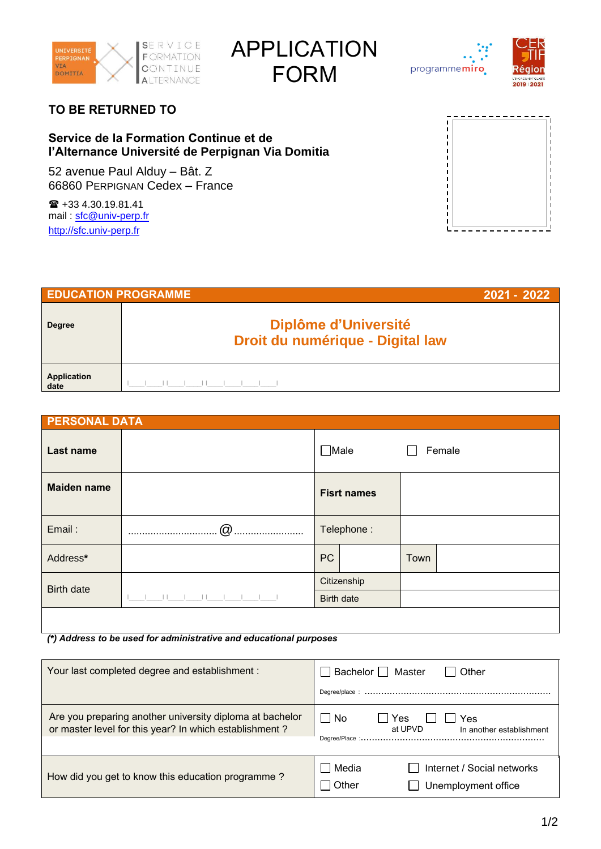

APPLICATION FORM



## **TO BE RETURNED TO**

## **Service de la Formation Continue et de l'Alternance Université de Perpignan Via Domitia**

52 avenue Paul Alduy – Bât. Z 66860 PERPIGNAN Cedex – France

 +33 4.30.19.81.41 mail : [sfc@univ-perp.fr](mailto:sfc@univ-perp.fr) [http://sfc.univ-perp.fr](http://sfc.univ-perp.fr/)



| <b>EDUCATION PROGRAMME</b> |                                                                 | 2021 - 2022 |
|----------------------------|-----------------------------------------------------------------|-------------|
| <b>Degree</b>              | <b>Diplôme d'Université</b><br>Droit du numérique - Digital law |             |
| <b>Application</b><br>date |                                                                 |             |

| <b>PERSONAL DATA</b> |        |                           |                    |      |        |
|----------------------|--------|---------------------------|--------------------|------|--------|
| <b>Last name</b>     |        | $\square$ Male            |                    |      | Female |
| <b>Maiden name</b>   |        |                           | <b>Fisrt names</b> |      |        |
| Email:               | @<br>. | Telephone:                |                    |      |        |
| Address*             |        | <b>PC</b>                 |                    | Town |        |
| <b>Birth date</b>    |        | Citizenship<br>Birth date |                    |      |        |
|                      |        |                           |                    |      |        |
|                      |        |                           |                    |      |        |

*(\*) Address to be used for administrative and educational purposes*

| Your last completed degree and establishment :                                                                     | Bachelor $\Box$ Master<br>Other                                       |
|--------------------------------------------------------------------------------------------------------------------|-----------------------------------------------------------------------|
| Are you preparing another university diploma at bachelor<br>or master level for this year? In which establishment? | l No<br>Yes<br>Yes<br>at UPVD<br>In another establishment             |
| How did you get to know this education programme?                                                                  | l Media<br>Internet / Social networks<br>Other<br>Unemployment office |